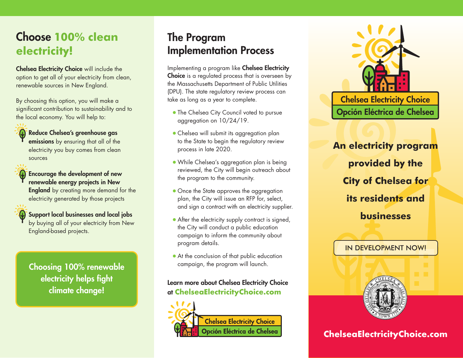# Choose **100% clean electricity!**

Chelsea Electricity Choice will include the option to get all of your electricity from clean, renewable sources in New England.

By choosing this option, you will make a significant contribution to sustainability and to the local economy. You will help to:

## Reduce Chelsea's greenhouse gas

emissions by ensuring that all of the electricity you buy comes from clean sources

Encourage the development of new renewable energy projects in New

England-based projects.

**England** by creating more demand for the electricity generated by those projects

Support local businesses and local jobs by buying all of your electricity from New

Choosing 100% renewable electricity helps fight climate change!

## The Program Implementation Process

Implementing a program like Chelsea Electricity Choice is a regulated process that is overseen by the Massachusetts Department of Public Utilities (DPU). The state regulatory review process can take as long as a year to complete.

- The Chelsea City Council voted to pursue aggregation on 10/24/19.
- Chelsea will submit its aggregation plan to the State to begin the regulatory review process in late 2020.
- While Chelsea's aggregation plan is being reviewed, the City will begin outreach about the program to the community.
- Once the State approves the aggregation plan, the City will issue an RFP for, select, and sign a contract with an electricity supplier.
- After the electricity supply contract is signed, the City will conduct a public education campaign to inform the community about program details.
- At the conclusion of that public education campaign, the program will launch.

## Learn more about Chelsea Electricity Choice at **ChelseaElectricityChoice.com**





Opción Eléctrica de Chelsea

**An electricity program provided by the City of Chelsea for its residents and businesses** 

## IN DEVELOPMENT NOW!



## **ChelseaElectricityChoice.com**